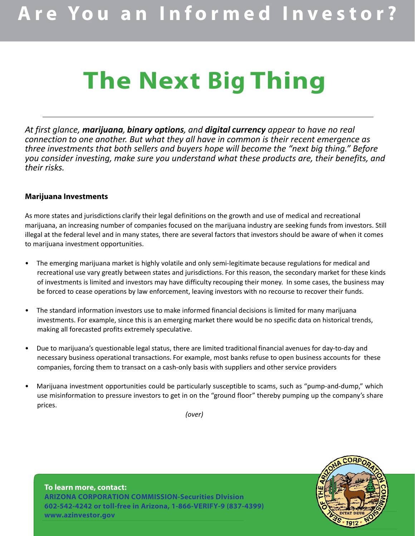# **The Next Big Thing**

*At first glance, marijuana, binary options, and digital currency appear to have no real connection to one another. But what they all have in common is their recent emergence as three investments that both sellers and buyers hope will become the "next big thing." Before you consider investing, make sure you understand what these products are, their benefits, and their risks.*

### **Marijuana Investments**

As more states and jurisdictions clarify their legal definitions on the growth and use of medical and recreational marijuana, an increasing number of companies focused on the marijuana industry are seeking funds from investors. Still illegal at the federal level and in many states, there are several factors that investors should be aware of when it comes to marijuana investment opportunities.

- The emerging marijuana market is highly volatile and only semi-legitimate because regulations for medical and recreational use vary greatly between states and jurisdictions. For this reason, the secondary market for these kinds of investments is limited and investors may have difficulty recouping their money. In some cases, the business may be forced to cease operations by law enforcement, leaving investors with no recourse to recover their funds.
- The standard information investors use to make informed financial decisions is limited for many marijuana investments. For example, since this is an emerging market there would be no specific data on historical trends, making all forecasted profits extremely speculative.
- Due to marijuana's questionable legal status, there are limited traditional financial avenues for day‐to‐day and necessary business operational transactions. For example, most banks refuse to open business accounts for these companies, forcing them to transact on a cash-only basis with suppliers and other service providers
- Marijuana investment opportunities could be particularly susceptible to scams, such as "pump‐and‐dump," which use misinformation to pressure investors to get in on the "ground floor" thereby pumping up the company's share prices.

*(over)*

### **To learn more, contact: ARIZONA CORPORATION COMMISSION-Securities DIvision 602-542-4242 or toll-free in Arizona, 1-866-VERIFY-9 (837-4399) www.azinvestor.gov**